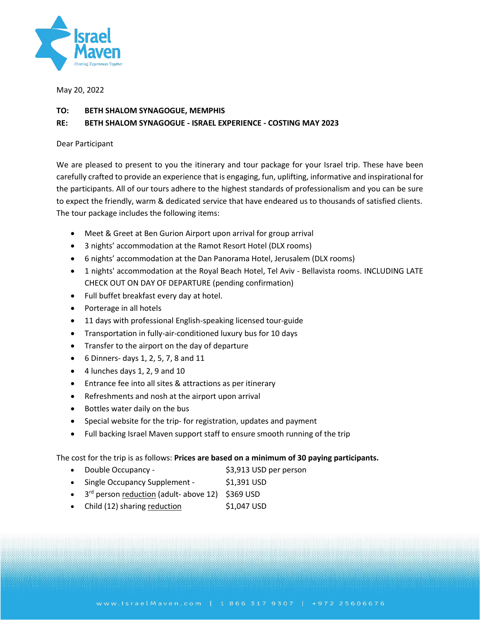

May 20, 2022

# **TO: BETH SHALOM SYNAGOGUE, MEMPHIS**

# **RE: BETH SHALOM SYNAGOGUE - ISRAEL EXPERIENCE - COSTING MAY 2023**

## Dear Participant

We are pleased to present to you the itinerary and tour package for your Israel trip. These have been carefully crafted to provide an experience that is engaging, fun, uplifting, informative and inspirational for the participants. All of our tours adhere to the highest standards of professionalism and you can be sure to expect the friendly, warm & dedicated service that have endeared us to thousands of satisfied clients. The tour package includes the following items:

- Meet & Greet at Ben Gurion Airport upon arrival for group arrival
- 3 nights' accommodation at the Ramot Resort Hotel (DLX rooms)
- 6 nights' accommodation at the Dan Panorama Hotel, Jerusalem (DLX rooms)
- 1 nights' accommodation at the Royal Beach Hotel, Tel Aviv Bellavista rooms. INCLUDING LATE CHECK OUT ON DAY OF DEPARTURE (pending confirmation)
- Full buffet breakfast every day at hotel.
- Porterage in all hotels
- 11 days with professional English-speaking licensed tour-guide
- Transportation in fully-air-conditioned luxury bus for 10 days
- Transfer to the airport on the day of departure
- 6 Dinners- days 1, 2, 5, 7, 8 and 11
- 4 lunches days 1, 2, 9 and 10
- Entrance fee into all sites & attractions as per itinerary
- Refreshments and nosh at the airport upon arrival
- Bottles water daily on the bus
- Special website for the trip- for registration, updates and payment
- Full backing Israel Maven support staff to ensure smooth running of the trip

The cost for the trip is as follows: **Prices are based on a minimum of 30 paying participants.**

- Double Occupancy \$3,913 USD per person
- Single Occupancy Supplement \$1,391 USD
- 3<sup>rd</sup> person reduction (adult- above 12) \$369 USD
- Child (12) sharing reduction \$1,047 USD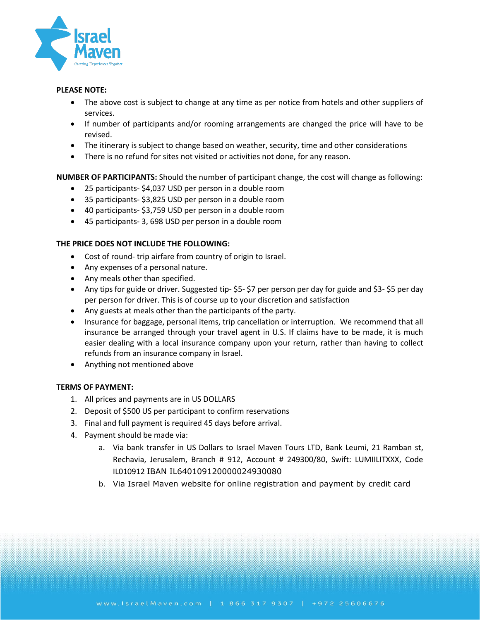

# **PLEASE NOTE:**

- The above cost is subject to change at any time as per notice from hotels and other suppliers of services.
- If number of participants and/or rooming arrangements are changed the price will have to be revised.
- The itinerary is subject to change based on weather, security, time and other considerations
- There is no refund for sites not visited or activities not done, for any reason.

**NUMBER OF PARTICIPANTS:** Should the number of participant change, the cost will change as following:

- 25 participants- \$4,037 USD per person in a double room
- 35 participants- \$3,825 USD per person in a double room
- 40 participants- \$3,759 USD per person in a double room
- 45 participants- 3, 698 USD per person in a double room

## **THE PRICE DOES NOT INCLUDE THE FOLLOWING:**

- Cost of round- trip airfare from country of origin to Israel.
- Any expenses of a personal nature.
- Any meals other than specified.
- Any tips for guide or driver. Suggested tip- \$5- \$7 per person per day for guide and \$3- \$5 per day per person for driver. This is of course up to your discretion and satisfaction
- Any guests at meals other than the participants of the party.
- Insurance for baggage, personal items, trip cancellation or interruption. We recommend that all insurance be arranged through your travel agent in U.S. If claims have to be made, it is much easier dealing with a local insurance company upon your return, rather than having to collect refunds from an insurance company in Israel.
- Anything not mentioned above

## **TERMS OF PAYMENT:**

- 1. All prices and payments are in US DOLLARS
- 2. Deposit of \$500 US per participant to confirm reservations
- 3. Final and full payment is required 45 days before arrival.
- 4. Payment should be made via:
	- a. Via bank transfer in US Dollars to Israel Maven Tours LTD, Bank Leumi, 21 Ramban st, Rechavia, Jerusalem, Branch # 912, Account # 249300/80, Swift: LUMIILITXXX, Code IL010912 IBAN IL640109120000024930080
	- b. Via Israel Maven website for online registration and payment by credit card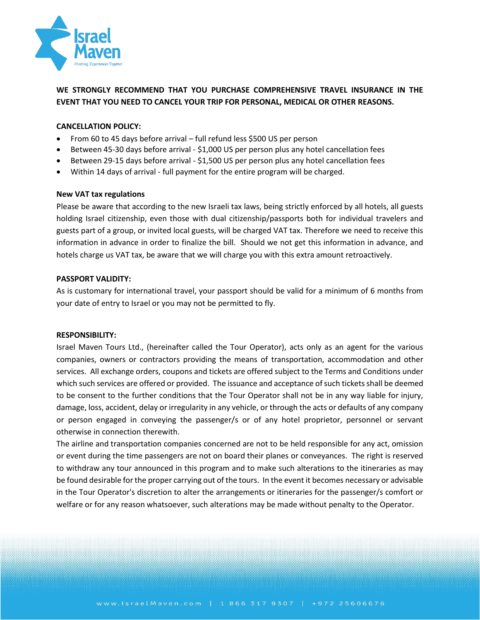

# **WE STRONGLY RECOMMEND THAT YOU PURCHASE COMPREHENSIVE TRAVEL INSURANCE IN THE EVENT THAT YOU NEED TO CANCEL YOUR TRIP FOR PERSONAL, MEDICAL OR OTHER REASONS.**

## **CANCELLATION POLICY:**

- From 60 to 45 days before arrival full refund less \$500 US per person
- Between 45-30 days before arrival \$1,000 US per person plus any hotel cancellation fees
- Between 29-15 days before arrival \$1,500 US per person plus any hotel cancellation fees
- Within 14 days of arrival full payment for the entire program will be charged.

### **New VAT tax regulations**

Please be aware that according to the new Israeli tax laws, being strictly enforced by all hotels, all guests holding Israel citizenship, even those with dual citizenship/passports both for individual travelers and guests part of a group, or invited local guests, will be charged VAT tax. Therefore we need to receive this information in advance in order to finalize the bill. Should we not get this information in advance, and hotels charge us VAT tax, be aware that we will charge you with this extra amount retroactively.

### **PASSPORT VALIDITY:**

As is customary for international travel, your passport should be valid for a minimum of 6 months from your date of entry to Israel or you may not be permitted to fly.

### **RESPONSIBILITY:**

Israel Maven Tours Ltd., (hereinafter called the Tour Operator), acts only as an agent for the various companies, owners or contractors providing the means of transportation, accommodation and other services. All exchange orders, coupons and tickets are offered subject to the Terms and Conditions under which such services are offered or provided. The issuance and acceptance of such tickets shall be deemed to be consent to the further conditions that the Tour Operator shall not be in any way liable for injury, damage, loss, accident, delay or irregularity in any vehicle, or through the acts or defaults of any company or person engaged in conveying the passenger/s or of any hotel proprietor, personnel or servant otherwise in connection therewith.

The airline and transportation companies concerned are not to be held responsible for any act, omission or event during the time passengers are not on board their planes or conveyances. The right is reserved to withdraw any tour announced in this program and to make such alterations to the itineraries as may be found desirable for the proper carrying out of the tours. In the event it becomes necessary or advisable in the Tour Operator's discretion to alter the arrangements or itineraries for the passenger/s comfort or welfare or for any reason whatsoever, such alterations may be made without penalty to the Operator.